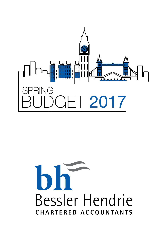

# Bessler Hendrie CHARTERED ACCOUNTANTS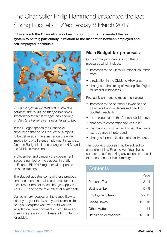## The Chancellor Philip Hammond presented the last Spring Budget on Wednesday 8 March 2017

**In his speech the Chancellor was keen to point out that he wanted the tax system to be fair, particularly in relation to the distinction between employed and self-employed individuals.**



*'But a fair system will also ensure fairness between individuals, so that people doing similar work for similar wages and enjoying similar state benefits pay similar levels of tax.'*

In the Budget speech the Chancellor announced that he has requested a report to be delivered in the summer on the wider implications of different employment practices. Also the Budget included changes to NICs and the Dividend Allowance.

In December and January the government issued a number of the clauses, in draft, of Finance Bill 2017 together with updates on consultations.

The Budget updates some of these previous announcements and also proposes further measures. Some of these changes apply from April 2017 and some take effect at a later date.

Our summary focuses on the issues likely to affect you, your family and your business. To help you decipher what was said we have included our own comments. If you have any questions please do not hesitate to contact us for advice.

### **Main Budget tax proposals**

Our summary concentrates on the tax measures which include:

- increases to the Class 4 National Insurance rates
- a reduction in the Dividend Allowance
- changes to the timing of Making Tax Digital for smaller businesses.

Previously announced measures include:

- increases to the personal allowance and basic rate band (a decreased band for Scottish residents)
- the introduction of the Apprenticeship Levy
- changes to corporation tax loss relief
- the introduction of an additional inheritance tax residence nil rate band
- changes for non-UK domiciled individuals.

The Budget proposals may be subject to amendment in a Finance Act. You should contact us before taking any action as a result of the contents of this summary.

## **Contents**

|                         | Page      |
|-------------------------|-----------|
| Personal Tax            | $2 - 4$   |
| <b>Business Tax</b>     | 5 - 8     |
| <b>Employment Taxes</b> | $9 - 11$  |
| Capital Taxes           | $12 - 13$ |
| Other Matters           | 14        |
| Rates and Allowances    | 15 - 16   |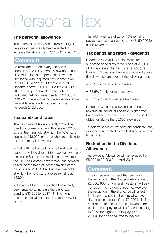## Personal Tax

#### **The personal allowance**

The personal allowance is currently £11,000. Legislation has already been enacted to increase the allowance to £11,500 for 2017/18.

## **Comment**

A reminder that not everyone has the benefit of the full personal allowance. There is a reduction in the personal allowance for those with 'adjusted net income' over £100,000, which is £1 for every £2 of income above £100,000. So for 2016/17 there is no personal allowance where adjusted net income exceeds £122,000. For 2017/18 there will be no personal allowance available where adjusted net income exceeds £123,000.

#### **Tax bands and rates**

The basic rate of tax is currently 20%. The band of income taxable at this rate is £32,000 so that the threshold at which the 40% band applies is £43,000 for those who are entitled to the full personal allowance.

In 2017/18 the band of income taxable at the basic rate will be different for taxpayers who are resident in Scotland to residents elsewhere in the UK. The Scottish government has decided to reduce the band of income taxable at the basic rate to £31,500 so that the threshold at which the 40% band applies remains at £43,000.

In the rest of the UK, legislation has already been enacted to increase the basic rate band to £33,500 for 2017/18. The higher rate threshold will therefore rise to £45,000 in 2017/18.

The additional rate of tax of 45% remains payable on taxable income above £150,000 for all UK residents.

#### **Tax bands and rates - dividends**

Dividends received by an individual are subject to special tax rates. The first £5,000 of dividends are charged to tax at 0% (the Dividend Allowance). Dividends received above the allowance are taxed at the following rates:

- 7.5% for basic rate taxpayers
- 32.5% for higher rate taxpayers
- 38.1% for additional rate taxpayers.

Dividends within the allowance still count towards an individual's basic or higher rate band and so may affect the rate of tax paid on dividends above the £5,000 allowance.

To determine which tax band dividends fall into, dividends are treated as the last type of income to be taxed.

#### **Reduction in the Dividend Allowance**

The Dividend Allowance will be reduced from £5,000 to £2,000 from April 2018.

## **Comment**

The government expect that even with the reduction in the Dividend Allowance to £2,000, 80% of 'general investors' will pay no tax on their dividend income. However, the reduction in the allowance will affect family company shareholders who take dividends in excess of the £2,000 limit. The cost of the restriction in the allowance for basic rate taxpayers will be £225 increasing to £975 for higher rate taxpayers and £1,143 for additional rate taxpayers.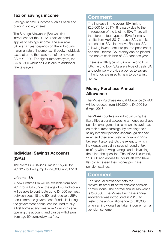#### **Tax on savings income**

Savings income is income such as bank and building society interest.

The Savings Allowance (SA) was first introduced for the 2016/17 tax year and applies to savings income. The available SA in a tax year depends on the individual's marginal rate of income tax. Broadly, individuals taxed at up to the basic rate of tax have an SA of £1,000. For higher rate taxpayers, the SA is £500 whilst no SA is due to additional rate taxpayers.



### **Individual Savings Accounts (ISAs)**

The overall ISA savings limit is £15,240 for 2016/17 but will jump to £20,000 in 2017/18.

#### **Lifetime ISA**

A new Lifetime ISA will be available from April 2017 for adults under the age of 40. Individuals will be able to contribute up to £4,000 per year. between ages 18 and 50, and receive a 25% bonus from the government. Funds, including the government bonus, can be used to buy a first home at any time from 12 months after opening the account, and can be withdrawn from age 60 completely tax free.

## **Comment**

The increase in the overall ISA limit to £20,000 for 2017/18 is partly due to the introduction of the Lifetime ISA. There will therefore be four types of ISAs for many adults from April 2017 - cash ISAs, stocks and shares ISAs, Innovative Finance ISAs (allowing investment into peer to peer loans) and the Lifetime ISA. Money can be placed into one of each kind of ISA each tax year.

There is a fifth type of ISA – a Help to Buy ISA. Help to Buy ISAs are a type of cash ISA and potentially provide a bonus to savers if the funds are used to help to buy a first home.

#### **Money Purchase Annual Allowance**

The Money Purchase Annual Allowance (MPAA) will be reduced from £10,000 to £4,000 from 6 April 2017.

The MPAA counters an individual using the flexibilities around accessing a money purchase pension arrangement as a means to avoid tax on their current earnings, by diverting their salary into their pension scheme, gaining tax relief, and then effectively withdrawing 25% tax free. It also restricts the extent to which individuals can gain a second round of tax relief by withdrawing savings and reinvesting them into their pension. The MPAA is currently £10,000 and applies to individuals who have flexibly accessed their money purchase pension savings.

## **Comment**

The 'annual allowance' sets the maximum amount of tax efficient pension contributions. The normal annual allowance is £40,000. The Money Purchase Annual Allowance was introduced in 2015, to restrict the annual allowance to £10,000 when an individual has taken income from a pension scheme.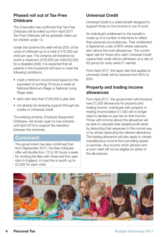#### **Phased roll out of Tax-Free Childcare**

The Chancellor has confirmed that Tax-Free Childcare will be rolled out from April 2017. Tax-Free Childcare will be gradually rolled out for children under 12.

Under the scheme the relief will be 20% of the costs of childcare up to a total of £10,000 per child per year. The scheme will therefore be worth a maximum of £2,000 per child (£4,000 for a disabled child). It is expected that all parents in the household will have to meet the following conditions:

- meet a minimum income level based on the equivalent of working 16 hours a week at National Minimum Wage or National Living Wage rates
- each earn less than £100,000 a year and
- not already be receiving support through tax credits or Universal Credit.

The existing scheme, Employer-Supported Childcare, will remain open to new entrants until April 2018 to support the transition between the schemes.

## **Comment**

The government has also confirmed that from September 2017, the free childcare offer will double from 15 to 30 hours a week for working families with three and four year olds in England. In total this is worth up to £5,000 for each child.

### **Universal Credit**

Universal Credit is a state benefit designed to support those on low income or out of work.

An individual's entitlement to the benefit is made up of a number of elements to reflect their personal circumstances. Their entitlement is tapered at a rate of 65% where claimants earn above the work allowances. The current taper rate for those who claim Universal Credit means their credit will be withdrawn at a rate of 65 pence for every extra £1 earned.

From April 2017, the taper rate that applies to Universal Credit will be reduced from 65% to 63%.

#### **Property and trading income allowances**

From April 2017, the government will introduce new £1,000 allowances for property and trading income. Individuals with property or trading income below £1,000 will no longer need to declare or pay tax on that income. Those with income above the allowance will be able to calculate their taxable profit either by deducting their expenses in the normal way or by simply deducting the relevant allowance. The trading allowance will also apply to certain miscellaneous income from providing assets or services. Any income which attracts renta-room relief will not be eligible for either of the allowances.

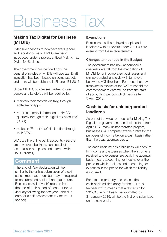## Business Tax

#### **Making Tax Digital for Business (MTDfB)**

Extensive changes to how taxpayers record and report income to HMRC are being introduced under a project entitled Making Tax Digital for Business.

The government has decided how the general principles of MTDfB will operate. Draft legislation has been issued on some aspects and more will be published in Finance Bill 2017.

Under MTDfB, businesses, self-employed people and landlords will be required to:

- maintain their records digitally, through software or apps
- report summary information to HMRC quarterly through their 'digital tax accounts' (DTAs)
- make an 'End of Year' declaration through their DTAs.

DTAs are like online bank accounts - secure areas where a business can see all of its tax details in one place and interact with HMRC digitally.

## **Comment**

The End of Year declaration will be similar to the online submission of a self assessment tax return but may be required to be submitted earlier than a tax return. Businesses will have 10 months from the end of their period of account (or 31 January following the tax year – the due date for a self assessment tax return - if sooner).

#### **Exemptions**

Businesses, self-employed people and landlords with turnovers under £10,000 are exempt from these requirements.

#### **Changes announced in the Budget**

The government has now announced a one year deferral from the mandating of MTDfB for unincorporated businesses and unincorporated landlords with turnovers below the VAT threshold. For those that have turnovers in excess of the VAT threshold the commencement date will be from the start of accounting periods which begin after 5 April 2018.

#### **Cash basis for unincorporated landlords**

As part of the wider proposals for Making Tax Digital, the government has decided that, from April 2017, many unincorporated property businesses will compute taxable profits for the purposes of income tax on a cash basis rather than the usual accruals basis.

The cash basis means a business will account for income and expenses when the income is received and expenses are paid. The accruals basis means accounting for income over the period to which it relates and accounting for expenses in the period for which the liability is incurred.

For affected property businesses, the cash basis will first apply for the 2017/18 tax year which means that a tax return for 2017/18, which has to be submitted by 31 January 2019, will be the first one submitted on the new basis.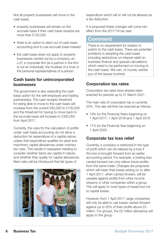Not all property businesses will move to the cash basis:

- property businesses will remain on the accruals basis if their cash basis receipts are more than £150,000
- there is an option to elect out of cash basis accounting and to use accruals basis instead
- the cash basis does not apply to property businesses carried out by a company, an LLP, a corporate firm (ie a partner in the firm is not an individual), the trustees of a trust or the personal representatives of a person.

#### **Cash basis for unincorporated businesses**

The government is also extending the cash basis option for the self-employed and trading partnerships. The cash receipts threshold for being able to move to the cash basis will increase from the current £83,000 to £150,000 and the threshold for having to move back to the accruals basis will increase to £300,000 from April 2017.

Currently, the rules for the calculation of profits under cash basis accounting do not allow a deduction for expenditure of a capital nature, unless that expenditure qualifies for plant and machinery capital allowances under ordinary tax rules. This results in taxpayers needing to consider whether items are capital in nature, and whether they qualify for capital allowances. New rules will be introduced that list types of



expenditure which will or will not be allowed as a tax deduction.

It is proposed these changes will come into effect from the 2017/18 tax year.

## **Comment**

There is no requirement for traders to switch to the cash basis. There are potential problems in adopting the cash basis including restrictions on interest relief on business finance and special calculations which need to be performed on moving to the cash basis. We can, of course, advise you of the issues involved.

## **Corporation tax rates**

Corporation tax rates have already been enacted for periods up to 31 March 2021.

The main rate of corporation tax is currently 20%. The rate will then be reduced as follows:

- 19% for the Financial Years beginning on 1 April 2017, 1 April 2018 and 1 April 2019
- 17% for the Financial Year beginning on 1 April 2020.

## **Corporate tax loss relief**

Currently, a company is restricted in the type of profit which can be relieved by a loss if the loss is brought forward from an earlier accounting period. For example, a trading loss carried forward can only relieve future profits from the same trade. Changes are proposed which will mean that losses arising on or after 1 April 2017, when carried forward, will be useable against profits from other income streams or other companies within a group. This will apply to most types of losses but not to capital losses.

However, from 1 April 2017, large companies will only be able to use losses carried forward against up to 50% of their profits above £5 million. For groups, the £5 million allowance will apply to the group.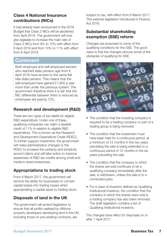### **Class 4 National Insurance contributions (NICs)**

It had already been announced in the 2016 Budget that Class 2 NICs will be abolished from April 2018. The government will now also legislate to increase the main rate of Class 4 NICs from 9% to 10% with effect from 6 April 2018 and from 10% to 11% with effect from 6 April 2019.

## **Comment**

Both employed and self-employed earners who reached state pension age from 6 April 2016 have access to the same flat rate state pension. This means that the self-employed have gained £1,800 a year more than under the previous system. The government therefore think it is fair that the NIC differential between them is reduced as employees are paying 12%.

## **Research and development (R&D)**

There are two types of tax reliefs for eligible R&D expenditure. Under one of these, qualifying companies can claim a taxable credit of 11% in relation to eligible R&D expenditure. This is known as the Research and Development Expenditure Credit (RDEC). To further support investment, the government will make administrative changes to the RDEC to increase the certainty and simplicity around claims and will take action to improve awareness of R&D tax credits among small and medium-sized enterprises.

## **Appropriations to trading stock**

From 8 March 2017, the government will remove the ability for businesses to convert capital losses into trading losses when appropriating a capital asset to trading stock.

## **Disposals of land in the UK**

The government will amend legislation to ensure that all profits realised by offshore property developers developing land in the UK, including those on pre-existing contracts, are

subject to tax, with effect from 8 March 2017. This extends legislation introduced in Finance Act 2016.

#### **Substantial shareholding exemption (SSE) reform**

Changes are proposed to some of the qualifying conditions for the SSE. The good news is that the changes remove some of the obstacles of qualifying for SSE.



- The condition that the investing company is required to be a trading company or part of a trading group is being removed.
- The condition that the investment must have been held for a continuous period, at a minimum of 12 months in the two years preceding the sale is being extended to a continuous period of 12 months in the six years preceding the sale.
- The condition that the company in which the shares are sold continues to be a qualifying company immediately after the sale, is withdrawn, unless the sale is to a connected party.
- For a class of investors defined as Qualifying Institutional Investors, the condition that the company in which the shares were sold is a trading company has also been removed. The draft legislation contains a list of Qualifying Institutional Investors.

The changes have effect for disposals on or after 1 April 2017.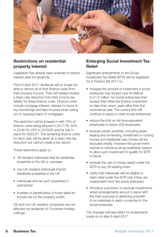

#### **Restrictions on residential property interest**

Legislation has already been enacted to restrict interest relief for landlords.

From 6 April 2017, landlords will no longer be able to deduct all of their finance costs from their property income. They will instead receive a basic rate reduction from their income tax liability for these finance costs. Finance costs include mortgage interest, interest on loans to buy furnishings and fees incurred when taking out or repaying loans or mortgages.

The restriction will be phased in with 75% of finance costs being allowed in 2017/18, 50% in 2018/19, 25% in 2019/20 and be fully in place for 2020/21. The remaining finance costs for each year will be given as a basic rate tax reduction but cannot create a tax refund.

These restrictions apply to:

- UK resident individuals that let residential properties in the UK or overseas
- non-UK resident individuals that let residential properties in the UK
- individuals who let such properties in partnership
- trustees or beneficiaries of trusts liable for income tax on the property profits.

UK and non-UK resident companies are not affected nor landlords of 'Furnished Holiday Lettings'.

#### **Enlarging Social Investment Tax Relief**

Significant amendments to the Social Investment Tax Relief (SITR) will be legislated for in Finance Bill 2017 to:

- increase the amount of investment a social enterprise may receive over its lifetime to £1.5 million, for social enterprises that receive their initial risk finance investment no later than seven years after their first commercial sale. The current limit will continue to apply to older social enterprises
- reduce the limit on full-time equivalent employees to below 250 employees
- exclude certain activities, including asset leasing and on-lending. Investment in nursing homes and residential care homes will be excluded initially. However the government intends to introduce an accreditation system to allow such investment to qualify for SITR in future
- exclude the use of money raised under the SITR to pay off existing loans
- clarify that individuals will be eligible to claim relief under the SITR only if they are independent from the social enterprise
- introduce a provision to exclude investments where arrangements are put in place with the main purpose of delivering a benefit to an individual or party connected to the social enterprise.

The changes will take effect for investments made on or after 6 April 2017.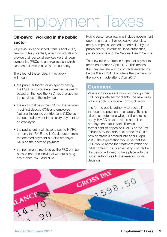## Employment Taxes

#### **Off-payroll working in the public sector**

As previously announced, from 6 April 2017, new tax rules potentially affect individuals who provide their personal services via their own companies (PSCs) to an organisation which has been classified as a 'public authority'.

The effect of these rules, if they apply, will mean:

- the public authority (or an agency paying the PSC) will calculate a 'deemed payment' based on the fees the PSC has charged for the services of the individual
- the entity that pays the PSC for the services must first deduct PAYE and employee National Insurance contributions (NICs) as if the deemed payment is a salary payment to an employee
- the paying entity will have to pay to HMRC not only the PAYE and NICs deducted from the deemed payment but also employer NICs on the deemed payment
- the net amount received by the PSC can be passed onto the individual without paying any further PAYE and NICs.

Public sector organisations include government departments and their executive agencies, many companies owned or controlled by the public sector, universities, local authorities, parish councils and the National Health Service.

The new rules operate in respect of payments made on or after 6 April 2017. This means that they are relevant to contracts entered into before 6 April 2017 but where the payment for the work is made after 6 April 2017.

## **Comment**

Where individuals are working through their PSC for private sector clients, the new rules will not apply to income from such work.

It is for the public authority to decide if the deemed payment rules apply. To help all parties determine whether these rules apply, HMRC have provided an online employment status tool. There is no formal right of appeal to HMRC or the Tax Tribunals by the individual or the PSC. If a new contract is entered into after 6 April 2017, the expectation would be that the PSC would agree the treatment within the initial contract. If it is an existing contract a discussion will need to take place with the public authority as to the reasons for its

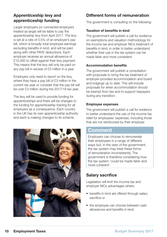## **Apprenticeship levy and apprenticeship funding**

Larger employers (or connected employers treated as large) will be liable to pay the apprenticeship levy from April 2017. The levy is set at a rate of 0.5% of an employer's pay bill, which is broadly total employee earnings excluding benefits in kind, and will be paid along with other PAYE deductions. Each employer receives an annual allowance of £15,000 to offset against their levy payment. This means that the levy will only be paid on any pay bill in excess of £3 million in a year.

Employers only need to report on the levy where they have a pay bill of £3 million in the current tax year or consider that the pay bill will be over £3 million during the 2017/18 tax year.

The levy will be used to provide funding for apprenticeships and there will be changes to the funding for apprenticeship training for all employers as a consequence. Each country in the UK has its own apprenticeship authority and each is making changes to its scheme.



## **Different forms of remuneration**

The government is consulting on the following:

#### **Taxation of benefits in kind**

The government will publish a call for evidence on exemptions and valuation methodology for the income tax and employer NICs treatment of benefits in kind, in order to better understand whether their use in the tax system can be made fairer and more consistent.

#### **Accommodation benefits**

The government will publish a consultation with proposals to bring the tax treatment of employer-provided accommodation and board and lodgings up to date. This will include proposals for when accommodation should be exempt from tax and to support taxpayers during any transition.

#### **Employee expenses**

The government will publish a call for evidence to better understand the use of the income tax relief for employees' expenses, including those that are not reimbursed by their employer.

## **Comment**

Employers can choose to remunerate their employees in a range of different ways but, in the view of the government, the tax system may treat these forms of remuneration inconsistently. The government is therefore considering how the tax system 'could be made fairer and more coherent'.

## **Salary sacrifice**

Legislation will limit the income tax and employer NICs advantages where:

- benefits in kind are offered through salary sacrifice or
- the employee can choose between cash allowances and benefits in kind.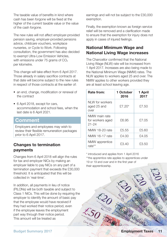The taxable value of benefits in kind where cash has been forgone will be fixed at the higher of the current taxable value or the value of the cash forgone.

The new rules will not affect employer-provided pension saving, employer-provided pensions advice, childcare vouchers, workplace nurseries, or Cycle to Work. Following consultation, the government has also decided to exempt Ultra-Low Emission Vehicles, with emissions under 75 grams of  $CO<sub>2</sub>$ per kilometre.

This change will take effect from 6 April 2017. Those already in salary sacrifice contracts at that date will become subject to the new rules in respect of those contracts at the earlier of:

- an end, change, modification or renewal of the contract
- 6 April 2018, except for cars, accommodation and school fees, when the last date is 6 April 2021.

## **Comment**

Employers and employees may wish to review their flexible remuneration packages prior to 6 April 2017.

#### **Changes to termination payments**

Changes from 6 April 2018 will align the rules for tax and employer NICs by making an employer liable to pay NICs on any part of a termination payment that exceeds the £30,000 threshold. It is anticipated that this will be collected in 'real-time'.

In addition, all payments in lieu of notice (PILONs) will be both taxable and subject to Class 1 NICs. This will be done by requiring the employer to identify the amount of basic pay that the employee would have received if they had worked their notice period, even if the employee leaves the employment part way through their notice period. This amount will be treated as

earnings and will not be subject to the £30,000 exemption.

Finally, the exemption known as foreign service relief will be removed and a clarification made to ensure that the exemption for injury does not apply in cases of injured feelings.

### **National Minimum Wage and National Living Wage increases**

The Chancellor confirmed that the National Living Wage (NLW) rate will be increased from 1 April 2017. Increases are also being made to the National Minimum Wage (NMW) rates. The NLW applies to workers aged 25 and over. The NMW applies to other workers provided they are at least school leaving age.

| Rate from:                                     | 1 October<br>2016 | 1 April<br>2017 |
|------------------------------------------------|-------------------|-----------------|
| NI W for workers<br>aged 25 and<br>over        | £7.20*            | £7.50           |
| NMW main rate<br>for workers aged<br>$21 - 24$ | £6.95             | £7.05           |
| NMW 18-20 rate                                 | £5.55             | £5.60           |
| NMW 16-17 rate                                 | £4.00             | £4.05           |
| NMW apprentice<br>rate**                       | £3.40             | £3.50           |

\* introduced and applies from 1 April 2016 \*\*the apprentice rate applies to apprentices under

19 or 19 and over and in the first year of their apprenticeship.

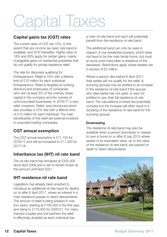## Capital Taxes

#### **Capital gains tax (CGT) rates**

The current rates of CGT are 10%, to the extent that any income tax basic rate band is available, and 20% thereafter. Higher rates of 18% and 28% apply for certain gains; mainly chargeable gains on residential properties that do not qualify for private residence relief.

The rate for disposals qualifying for Entrepreneurs' Relief is 10% with a lifetime limit of £10 million for each individual. Entrepreneurs' Relief is targeted at working directors and employees of companies who own at least 5% of the ordinary share capital in the company and the owners of unincorporated businesses. In 2016/17 a new relief, Investors' Relief, was introduced which also provides a 10% rate with a lifetime limit of £10 million for each individual. The main beneficiaries of this relief are external investors in unquoted trading companies.

## **CGT annual exemption**

The CGT annual exemption is £11,100 for 2016/17 and will be increased to £11,300 for 2017/18.

## **Inheritance tax (IHT) nil rate band**

The nil rate band has remained at £325,000 since April 2009 and is set to remain frozen at this amount until April 2021.

## **IHT residence nil rate band**

Legislation has already been enacted to introduce an additional nil rate band for deaths on or after 6 April 2017, where an interest in a main residence passes to direct descendants. The amount of relief is being phased in over four years; starting at £100,000 in the first year and rising to £175,000 for 2020/21. For many married couples and civil partners the relief is effectively doubled as each individual has

a main nil rate band and each will potentially benefit from the residence nil rate band.

The additional band can only be used in respect of one residential property, which does not have to be the main family home, but must at some point have been a residence of the deceased. Restrictions apply where estates are in excess of £2 million.

Where a person dies before 6 April 2017, their estate will not qualify for the relief. A surviving spouse may be entitled to an increase in the residence nil rate band if the spouse who died earlier has not used, or was not entitled to use, their full residence nil rate band. The calculations involved are potentially complex but the increase will often result in a doubling of the residence nil rate band for the surviving spouse.

#### **Downsizing**

The residence nil rate band may also be available when a person downsizes or ceases to own a home on or after 8 July 2015 where assets of an equivalent value, up to the value of the residence nil rate band, are passed on death to direct descendants.

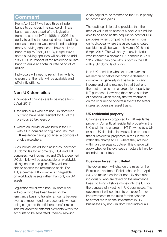## **Comment**

From April 2017 we have three nil rate bands to consider. The standard nil rate band has been a part of the legislation from the start of IHT in 1986. In 2007 the ability to utilise the unused nil rate band of a deceased spouse was introduced enabling many surviving spouses to have a nil rate band of up to £650,000. By 6 April 2020 some surviving spouses will be able to add £350,000 in respect of the residence nil rate band to arrive at a total nil rate band of £1 million.

Individuals will need to revisit their wills to ensure that the relief will be available and efficiently utilised.

#### **Non-UK domiciles**

A number of changes are to be made from 6 April 2017:

- for individuals who are non-UK domiciled but who have been resident for 15 of the previous 20 tax years or
- where an individual was born in the UK with a UK domicile of origin and resumes UK residence having obtained a domicile of choice elsewhere.

Such individuals will be classed as 'deemed' UK domiciles for income tax, CGT and IHT purposes. For income tax and CGT, a deemed UK domicile will be assessable on worldwide arising income and gains. They will not be able to access the remittance basis. For IHT, a deemed UK domicile is chargeable on worldwide assets rather than only on UK assets.

Legislation will allow a non-UK domiciled individual who has been taxed on the remittance basis to transfer amounts between overseas mixed fund bank accounts without being subject to the offshore transfer rules. This will allow the different elements within the accounts to be separated, thereby allowing

clean capital to be remitted to the UK in priority to income and gains.

The draft legislation also provides that the market value of an asset at 5 April 2017 will be able to be used as the acquisition cost for CGT purposes when computing the gain or loss on its disposal where the asset was situated outside the UK between 16 March 2016 and 5 April 2017. This will apply to any individual who becomes a deemed UK domicile in April 2017, other than one who is born in the UK with a UK domicile of origin.

Non-UK domiciles who set up an overseas resident trust before becoming a deemed UK domicile will generally not be taxed on any income and gains retained in that trust and the trust remains non chargeable property for IHT purposes. However, there are a number of changes which modify the tax treatment on the occurrence of certain events for settlor interested overseas asset trusts.

#### **UK residential property**

Changes are also proposed for UK residential property. Currently all residential property in the UK is within the charge to IHT if owned by a UK or non-UK domiciled individual. It is proposed that all residential properties in the UK will be within the charge to IHT where they are held within an overseas structure. This charge will apply whether the overseas structure is held by an individual or trust.

#### **Business Investment Relief**

The government will change the rules for the Business Investment Relief scheme from April 2017 to make it easier for non-UK domiciled individuals, who are taxed on the remittance basis, to bring offshore money into the UK for the purpose of investing in UK businesses. The government will continue to consider further improvements to the rules for the scheme to attract more capital investment in UK businesses by non-UK domiciled individuals.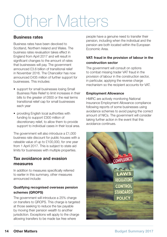## Other Matters

#### **Business rates**

Business rates have been devolved to Scotland, Northern Ireland and Wales. The business rates revaluation takes effect in England from April 2017 and will result in significant changes to the amount of rates that businesses will pay. The government announced £3.6 billion of transitional relief in November 2016. The Chancellor has now announced £435 million of further support for businesses. This includes:

- support for small businesses losing Small Business Rate Relief to limit increases in their bills to the greater of £600 or the real terms transitional relief cap for small businesses each year
- providing English local authorities with funding to support £300 million of discretionary relief, to allow them to provide support to individual cases in their local area.

The government will also introduce a £1,000 business rate discount for public houses with a rateable value of up to £100,000, for one year from 1 April 2017. This is subject to state aid limits for businesses with multiple properties.

#### **Tax avoidance and evasion measures**

In addition to measures specifically referred to earlier in this summary, other measures announced include:

#### **Qualifying recognised overseas pension schemes (QROPS)**

The government will introduce a 25% charge on transfers to QROPS. This charge is targeted at those seeking to reduce the tax payable by moving their pension wealth to another jurisdiction. Exceptions will apply to the charge allowing transfers to be made tax free where

people have a genuine need to transfer their pension, including when the individual and the pension are both located within the European Economic Area.

#### **VAT: fraud in the provision of labour in the construction sector**

The government will consult on options to combat missing trader VAT fraud in the provision of labour in the construction sector, in particular, applying the reverse charge mechanism so the recipient accounts for VAT.

#### **Employment Allowance**

HMRC are actively monitoring National Insurance Employment Allowance compliance following reports of some businesses using avoidance schemes to avoid paying the correct amount of NICs. The government will consider taking further action in the event that this avoidance continues.

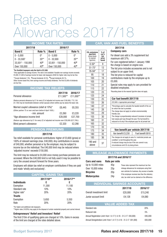## Rates and Allowances 2017/18

**CO2 emissions (gm/km)** (round down) to nearest 5gm/km)

#### **INCOME TAX RATES**

| 2017/18                         |              | 2016/17          |              |
|---------------------------------|--------------|------------------|--------------|
| <b>Band £</b>                   | Rate %       | <b>Band £</b>    | Rate %       |
| $0 - 5.000$                     | U¥           | $0 - 5.000$      | 0*           |
| $0 - 33.500$ <sup>+</sup>       | $20**$       | $0 - 32,000$     | $20**$       |
| $33.501$ <sup>+</sup> - 150.000 | $40*$        | 32,001 - 150,000 | $40*$        |
| Over 150,000                    | $45^{\circ}$ | Over 150,000     | $45^{\circ}$ |

† **For Scottish taxpayers only the limit is £31,500.**

\*Only applicable to savings income. The rate is not available if taxable non-savings income exceeds £5,000. £1,000 of savings income for basic rate taxpayers (£500 for higher rate) may be tax free. \*\*Except dividends 7.5%. \*Except dividends 32.5%. \*Except dividends 38.1%

Other income taxed first, then savings income and finally dividends. The first £5,000 of dividends are tax free.

#### **INCOME TAX RELIEFS**

|                                                                                                                                                                                                   | 2017/18   | 2016/17   |
|---------------------------------------------------------------------------------------------------------------------------------------------------------------------------------------------------|-----------|-----------|
| Personal allowance                                                                                                                                                                                | £11.500** | £11,000** |
| (Reduce personal allowance by £1 for every £2 of adjusted net income over £100,000.) **£1,150<br>(£1,100) may be transferable between certain spouses where neither pay tax above the basic rate. |           |           |
| Married couple's allowance (relief at 10%)*                                                                                                                                                       | £8.445    | £8.355    |
| (Either partner 75 or over and born before 6 April 1935.)                                                                                                                                         |           |           |
| - min. amount                                                                                                                                                                                     | £3.260    | £3.220    |
| *Age allowance income limit                                                                                                                                                                       | £28.000   | £27.700   |
| (Reduce age allowance by £1 for every £2 of adjusted net income over £28,000 (£27,700).)                                                                                                          |           |           |

Blind person's allowance  $£2.320$  £2,290

#### **PENSION PREMIUMS**

#### 2017/18

Tax relief available for personal contributions: higher of £3,600 (gross) or 100% of relevant earnings (max. £40,000). Any contributions in excess of £40,000, whether personal or by the employer, may be subject to income tax on the individual. The £40,000 limit may be reduced where 'adjusted income' exceeds £150,000.

The limit may be reduced to £4,000 once money purchase pensions are accessed. Where the £40,000 limit is not fully used it may be possible to carry the unused amount forward for three years.

Employers will obtain tax relief on employer contributions if they are paid and made 'wholly and exclusively'.

#### **CAPITAL GAINS TAX**

|                    | 2017/18** | 2016/17** |
|--------------------|-----------|-----------|
| <b>Individuals</b> | £         | £         |
| Exemption          | 11.300    | 11.100    |
| Standard rate      | 10%       | 10%       |
| Higher rate*       | 20%       | 20%       |
| <b>Trusts</b>      |           |           |
| Exemption          | 5,650     | 5.550     |
| Rate               | 20%       | 20%       |
|                    |           |           |

\*For higher and additional rate taxpayers.

\*\*Higher rates (18/28%) may apply to the disposal of certain residential property and carried interest.

#### **Entrepreneurs' Relief and Investors' Relief**

The first £10m of qualifying gains are charged at 10%. Gains in excess of the limit are charged at the rates detailed above.

#### **CAR, VAN AND FUEL BENEFITS**

#### **2017/18**

#### **Company cars**

| % of                            | oompany varo                                                                                                                 |
|---------------------------------|------------------------------------------------------------------------------------------------------------------------------|
| car's<br>list<br>price<br>taxed | For diesel cars add a 3% supplement but<br>maximum still 37%.                                                                |
|                                 | For cars registered before 1 January 1998                                                                                    |
| 9                               | the charge is based on engine size.                                                                                          |
| 13                              | The list price includes accessories and is not                                                                               |
| 17                              | subject to an upper limit.                                                                                                   |
| 18                              | The list price is reduced for capital                                                                                        |
| 19                              | contributions made by the employee up to                                                                                     |
| 20                              | £5,000.                                                                                                                      |
| 21                              | Special rules may apply to cars provided for                                                                                 |
| 22                              | disabled employees.                                                                                                          |
| 23                              | *Rounding down to the nearest 5gm/km does not apply.                                                                         |
| 24                              |                                                                                                                              |
| 25                              | Car fuel benefit 2017/18                                                                                                     |
| 26                              | £22,600 x 'appropriate percentage'*                                                                                          |
| 27                              | *Percentage used to calculate the taxable benefit of the car                                                                 |
| 28                              | for which the fuel is provided.<br>The charge does not apply to certain environmentally                                      |
| 29                              | friendly cars.                                                                                                               |
| 30                              | The charge is proportionately reduced if provision of private                                                                |
| 31                              | fuel ceases part way through the year. The fuel benefit is<br>reduced to nil only if the employee pays for all private fuel. |
| 32                              |                                                                                                                              |

| Van benefit per vehicle 2017/18                                                                                                                                                                            |                   |  |  |
|------------------------------------------------------------------------------------------------------------------------------------------------------------------------------------------------------------|-------------------|--|--|
| Van benefit £3.230                                                                                                                                                                                         | Fuel benefit £610 |  |  |
| The charges do not apply to vans if a 'restricted private use<br>condition' is met throughout the year.<br>A reduced charge may be due if the van cannot in any<br>circumstances emit CO2 by being driven. |                   |  |  |

#### **MILEAGE ALLOWANCE PAYMENTS**

#### **2017/18 and 2016/17**

| <b>Cars and vans</b> | Rate per mile   |                                                    |  |  |  |
|----------------------|-----------------|----------------------------------------------------|--|--|--|
| Up to 10,000 miles   | 45 <sub>D</sub> | These rates represent the maximum tax free         |  |  |  |
| Over 10,000 miles    | 25 <sub>D</sub> | mileage allowances for employees using their       |  |  |  |
| <b>Bicycles</b>      | 20 <sub>D</sub> | own vehicles for business. Any excess is taxable.  |  |  |  |
| <b>Motorcycles</b>   | 24 <sub>p</sub> | If the employee receives less than the statutory   |  |  |  |
|                      |                 | rate, tax relief can be claimed on the difference. |  |  |  |

| <b>INDIVIDUAL SAVINGS ACCOUNTS</b> |         |         |
|------------------------------------|---------|---------|
|                                    | 2017/18 | 2016/17 |
| Overall investment limit           | £20,000 | £15.240 |
| Junior account limit               | £4.128  | £4.080  |

| <b>VALUE ADDED TAX</b>                                             |         |
|--------------------------------------------------------------------|---------|
| Standard rate                                                      | 20%     |
| Reduced rate                                                       | 5%      |
| Annual Registration Limit-from 1.4.17 (1.4.16 - 31.3.17 £83,000)   | £85,000 |
| Annual Deregistration Limit-from 1.4.17 (1.4.16 - 31.3.17 £81.000) | £83,000 |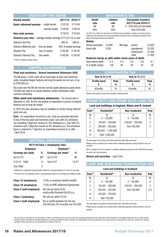#### **STATUTORY PAY RATES**

| <b>Weekly benefit</b>                                                    |                  | 2017/18                | 2016/17  |
|--------------------------------------------------------------------------|------------------|------------------------|----------|
| <b>Basic retirement pension</b> - single person                          |                  | £122.30                | £119.30  |
|                                                                          | - married couple | £195.60                | £190.80  |
| New state pension                                                        |                  | £159.55                | £155.65  |
| <b>Statutory pay rates</b> - average weekly earnings £113 (£112) or over |                  |                        |          |
| <b>Statutory Sick Pay</b>                                                |                  | £89.35                 | £88.45   |
| Statutory Maternity and - first six weeks                                |                  | 90% of weekly earnings |          |
| <b>Adoption Pay</b>                                                      | - next 33 weeks  | £140.98*               | £139.58* |
| <b>Statutory Paternity Pay</b>                                           | - two weeks      | £140.98*               | £139.58* |
|                                                                          |                  |                        |          |

\*Or 90% of weekly earnings if lower.

#### **CAPITAL ALLOWANCES**

#### **Plant and machinery - Annual Investment Allowance (AIA)**

The AIA gives a 100% write-off on most types of plant and machinery costs, including integral features and long life assets but not cars, of up to £200,000 p.a.

Any costs over the AIA fall into the normal capital allowance pools below. The AIA may need to be shared between certain businesses under common ownership.

Other plant and machinery allowances - The annual rate of allowance is 18%. An 8% rate applies to expenditure incurred on integral features and on long life assets.

A 100% first year allowance may be available on certain energy efficient plant and cars.

Cars - For expenditure incurred on cars, costs are generally allocated to one of the two plant and machinery pools. Cars with CO<sub>2</sub> emissions not exceeding 130gm/km receive an 18% allowance p.a. Cars with  $CO<sub>2</sub>$ emissions over 130gm/km receive an 8% allowance p.a. The emissions figure is reduced to 110gm/km for expenditure incurred on or after 1 April 2018.

#### **NATIONAL INSURANCE**

#### **2017/18 Class 1 (employed) rates**

| <b>Employee</b>          |      | Employer**          |          |  |
|--------------------------|------|---------------------|----------|--|
| <b>Earnings per week</b> | %    | Earnings per week** | %        |  |
| Up to $£157$             | Nil* | Up to $£157$        | Nil      |  |
| £157.01 - £866           | 12   | Over £157           | $13.8**$ |  |
| Over £866                | 2    |                     |          |  |

\*Entitlement to contribution-based benefits retained for earnings between £113 and £157 per week. \*\*The rate is 0% for employees under 21 and apprentices under 25 on earnings up to £866 per week.

| <b>Class 1A (employers)</b> | 13.8% on employee taxable benefits                                          |
|-----------------------------|-----------------------------------------------------------------------------|
| <b>Class 1B (employers)</b> | 13.8% on PAYE Settlement Agreements                                         |
| Class 2 (self-employed)     | flat rate per week £2.85<br>small profits threshold £6,025 p.a.             |
| Class 3 (voluntary)         | flat rate per week £14.25                                                   |
| Class 4 (self-employed)     | 9% on profits between £8,164 and<br>£45,000 plus 2% on profits over £45,000 |

| <b>INHERITANCE TAX</b>                                                                                                                                                                                                                                |                         |                                                                                    |  |  |  |
|-------------------------------------------------------------------------------------------------------------------------------------------------------------------------------------------------------------------------------------------------------|-------------------------|------------------------------------------------------------------------------------|--|--|--|
| <b>Death</b><br>rate<br>Nil                                                                                                                                                                                                                           | Lifetime<br>rate<br>Nil | <b>Chargeable transfers</b><br>2017/18 and 2016/17<br>0 - £325,000 (nil rate band) |  |  |  |
| 40%                                                                                                                                                                                                                                                   | 20%                     | Over £325,000                                                                      |  |  |  |
| For 2017/18, a further nil rate band of £100,000 may be available in relation to current or former<br>residences. Nil rate bands of surviving spouses/civil partners may be increased by unused nil rate<br>bands of deceased spouses/civil partners. |                         |                                                                                    |  |  |  |
| <b>Reliefs</b>                                                                                                                                                                                                                                        |                         |                                                                                    |  |  |  |

| пенею                                               |         |          |               |       |         |
|-----------------------------------------------------|---------|----------|---------------|-------|---------|
| Annual exemption                                    | £3,000  | Marriage | - parent      |       | £5.000  |
| Small gifts                                         | £250    |          | - grandparent |       | £2.500  |
|                                                     |         |          | - bride/groom |       | £2,500  |
|                                                     |         |          | - other       |       | £1.000  |
| Reduced charge on gifts within seven years of death |         |          |               |       |         |
| Years before death                                  | $0 - 3$ | $3 - 4$  | 4-5           | $5-6$ | $6 - 7$ |
| % of death charge                                   | 100     | 80       | 60            | 40    | 20      |

#### **CORPORATION**

| Year to 31.3.18     |      | Year to 31.3.17     |      |
|---------------------|------|---------------------|------|
| <b>Profits band</b> | Rate | <b>Profits band</b> | Rate |
|                     | $\%$ |                     | %    |
| All profits         | 19   | All profits         | 20   |

Different rates apply for ring-fenced (broadly oil industry) profit.

#### **STAMP DUTY AND STAMP DUTY LAND TAX**

#### Land and buildings in England, Wales and N. Ireland

| Rate*  | Residential*          | Non-residential   | Rate           |
|--------|-----------------------|-------------------|----------------|
| %<br>0 | $0 - 125.000$         | $0 - 150,000$     | %<br>0         |
| 2      | 125,001 - 250,000     | 150,001 - 250,000 | $\overline{2}$ |
| 5      | 250,001 - 925,000     | Over 250,000      | 5              |
| 10     | $925,001 - 1,500,000$ |                   |                |
| 12     | Over 1,500,000        |                   |                |

The rates apply to the portion of the total value which falls within each band.

Rates may be increased by 3% where further residential properties costing £40,000 or over are acquired.

SDLT is charged at 15% on interests in residential dwellings costing more than £500,000 purchased by certain non-natural persons.

**Shares and securities** - rate 0.5%.

#### **LAND AND BUILDINGS TRANSACTION TAX**

#### **Land and buildings in Scotland**

| Rate <sup>*</sup> | Residential*      | Non-residential   | Rate |
|-------------------|-------------------|-------------------|------|
| %                 | ç                 |                   | %    |
| $\Omega$          | $0 - 145,000$     | $0 - 150.000$     | 0    |
| 2                 | 145,001 - 250,000 | 150,001 - 350,000 | 3    |
| 5                 | 250,001 - 325,000 | Over 350,000      | 4.5  |
| 10                | 325,001 - 750,000 |                   |      |
| 12                | Over 750,000      |                   |      |

The rates apply to the portion of the total value which falls within each band.

Rates may be increased by 3% where further residential properties costing £40,000 or over are acquired.

This summary is published for the information of clients. It provides only an overview of the main proposals announced by the Chancellor of the Exchequer in his Budget Statement, and no action should be taken without consulting the detailed legislation or seeking professional advice. Therefore no responsibility for loss occasioned by any person acting or refraining from action as a result of the material<br>contained in t